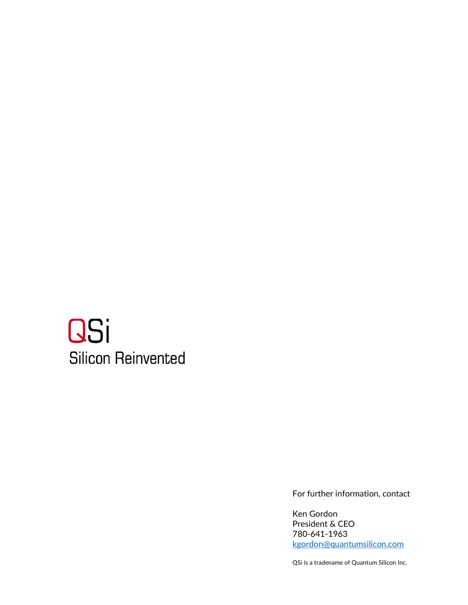# **QSi Silicon Reinvented**

For further information, contact

Ken Gordon President & CEO 780-641-1963 [kgordon@quantumsilicon.com](mailto:kgordon@quantumsilicon.com)

QSi is a tradename of Quantum Silicon Inc.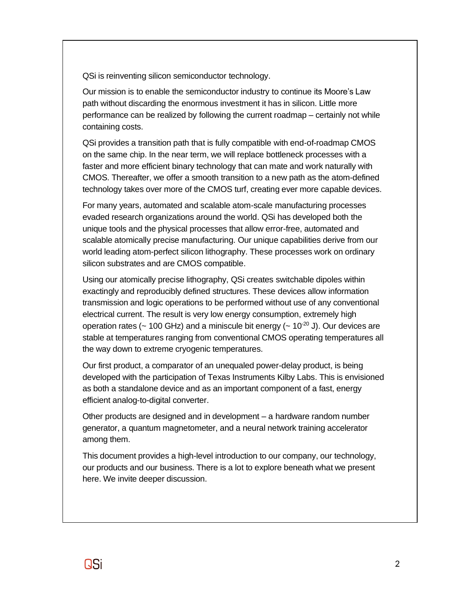QSi is reinventing silicon semiconductor technology.

Our mission is to enable the semiconductor industry to continue its Moore's Law path without discarding the enormous investment it has in silicon. Little more performance can be realized by following the current roadmap – certainly not while containing costs.

QSi provides a transition path that is fully compatible with end-of-roadmap CMOS on the same chip. In the near term, we will replace bottleneck processes with a faster and more efficient binary technology that can mate and work naturally with CMOS. Thereafter, we offer a smooth transition to a new path as the atom-defined technology takes over more of the CMOS turf, creating ever more capable devices.

For many years, automated and scalable atom-scale manufacturing processes evaded research organizations around the world. QSi has developed both the unique tools and the physical processes that allow error-free, automated and scalable atomically precise manufacturing. Our unique capabilities derive from our world leading atom-perfect silicon lithography. These processes work on ordinary silicon substrates and are CMOS compatible.

Using our atomically precise lithography, QSi creates switchable dipoles within exactingly and reproducibly defined structures. These devices allow information transmission and logic operations to be performed without use of any conventional electrical current. The result is very low energy consumption, extremely high operation rates ( $\sim$  100 GHz) and a miniscule bit energy ( $\sim$  10<sup>-20</sup> J). Our devices are stable at temperatures ranging from conventional CMOS operating temperatures all the way down to extreme cryogenic temperatures.

Our first product, a comparator of an unequaled power-delay product, is being developed with the participation of Texas Instruments Kilby Labs. This is envisioned as both a standalone device and as an important component of a fast, energy efficient analog-to-digital converter.

Other products are designed and in development – a hardware random number generator, a quantum magnetometer, and a neural network training accelerator among them.

This document provides a high-level introduction to our company, our technology, our products and our business. There is a lot to explore beneath what we present here. We invite deeper discussion.

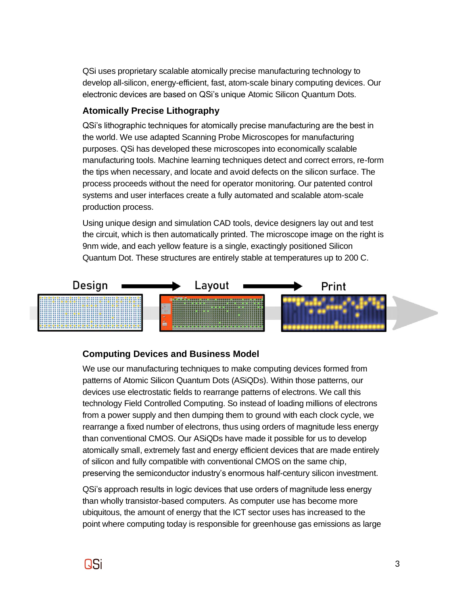QSi uses proprietary scalable atomically precise manufacturing technology to develop all-silicon, energy-efficient, fast, atom-scale binary computing devices. Our electronic devices are based on QSi's unique Atomic Silicon Quantum Dots.

## **Atomically Precise Lithography**

QSi's lithographic techniques for atomically precise manufacturing are the best in the world. We use adapted Scanning Probe Microscopes for manufacturing purposes. QSi has developed these microscopes into economically scalable manufacturing tools. Machine learning techniques detect and correct errors, re-form the tips when necessary, and locate and avoid defects on the silicon surface. The process proceeds without the need for operator monitoring. Our patented control systems and user interfaces create a fully automated and scalable atom-scale production process.

Using unique design and simulation CAD tools, device designers lay out and test the circuit, which is then automatically printed. The microscope image on the right is 9nm wide, and each yellow feature is a single, exactingly positioned Silicon Quantum Dot. These structures are entirely stable at temperatures up to 200 C.



# **Computing Devices and Business Model**

We use our manufacturing techniques to make computing devices formed from patterns of Atomic Silicon Quantum Dots (ASiQDs). Within those patterns, our devices use electrostatic fields to rearrange patterns of electrons. We call this technology Field Controlled Computing. So instead of loading millions of electrons from a power supply and then dumping them to ground with each clock cycle, we rearrange a fixed number of electrons, thus using orders of magnitude less energy than conventional CMOS. Our ASiQDs have made it possible for us to develop atomically small, extremely fast and energy efficient devices that are made entirely of silicon and fully compatible with conventional CMOS on the same chip, preserving the semiconductor industry's enormous half-century silicon investment.

QSi's approach results in logic devices that use orders of magnitude less energy than wholly transistor-based computers. As computer use has become more ubiquitous, the amount of energy that the ICT sector uses has increased to the point where computing today is responsible for greenhouse gas emissions as large

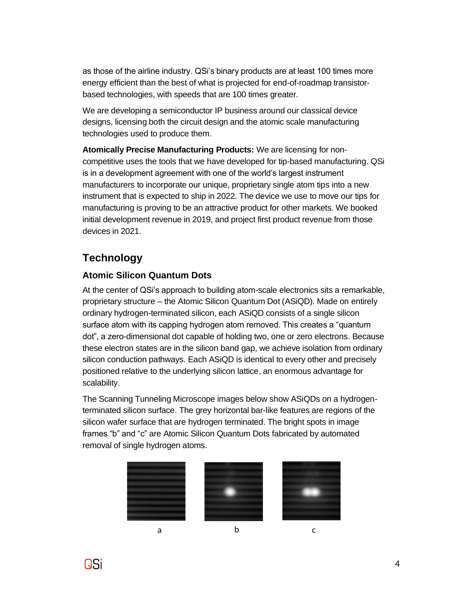as those of the airline industry. QSi's binary products are at least 100 times more energy efficient than the best of what is projected for end-of-roadmap transistorbased technologies, with speeds that are 100 times greater.

We are developing a semiconductor IP business around our classical device designs, licensing both the circuit design and the atomic scale manufacturing technologies used to produce them.

**Atomically Precise Manufacturing Products:** We are licensing for noncompetitive uses the tools that we have developed for tip-based manufacturing. QSi is in a development agreement with one of the world's largest instrument manufacturers to incorporate our unique, proprietary single atom tips into a new instrument that is expected to ship in 2022. The device we use to move our tips for manufacturing is proving to be an attractive product for other markets. We booked initial development revenue in 2019, and project first product revenue from those devices in 2021.

# **Technology**

# **Atomic Silicon Quantum Dots**

At the center of QSi's approach to building atom-scale electronics sits a remarkable, proprietary structure – the Atomic Silicon Quantum Dot (ASiQD). Made on entirely ordinary hydrogen-terminated silicon, each ASiQD consists of a single silicon surface atom with its capping hydrogen atom removed. This creates a "quantum dot", a zero-dimensional dot capable of holding two, one or zero electrons. Because these electron states are in the silicon band gap, we achieve isolation from ordinary silicon conduction pathways. Each ASiQD is identical to every other and precisely positioned relative to the underlying silicon lattice, an enormous advantage for scalability.

The Scanning Tunneling Microscope images below show ASiQDs on a hydrogenterminated silicon surface. The grey horizontal bar-like features are regions of the silicon wafer surface that are hydrogen terminated. The bright spots in image frames "b" and "c" are Atomic Silicon Quantum Dots fabricated by automated removal of single hydrogen atoms.









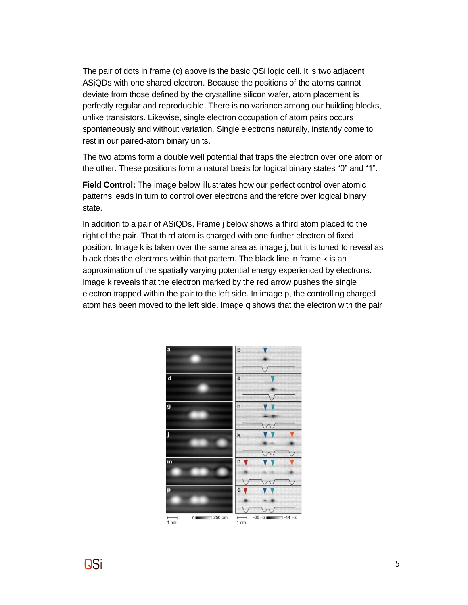The pair of dots in frame (c) above is the basic QSi logic cell. It is two adjacent ASiQDs with one shared electron. Because the positions of the atoms cannot deviate from those defined by the crystalline silicon wafer, atom placement is perfectly regular and reproducible. There is no variance among our building blocks, unlike transistors. Likewise, single electron occupation of atom pairs occurs spontaneously and without variation. Single electrons naturally, instantly come to rest in our paired-atom binary units.

The two atoms form a double well potential that traps the electron over one atom or the other. These positions form a natural basis for logical binary states "0" and "1".

**Field Control:** The image below illustrates how our perfect control over atomic patterns leads in turn to control over electrons and therefore over logical binary state.

In addition to a pair of ASiQDs, Frame j below shows a third atom placed to the right of the pair. That third atom is charged with one further electron of fixed position. Image k is taken over the same area as image j, but it is tuned to reveal as black dots the electrons within that pattern. The black line in frame k is an approximation of the spatially varying potential energy experienced by electrons. Image k reveals that the electron marked by the red arrow pushes the single electron trapped within the pair to the left side. In image p, the controlling charged atom has been moved to the left side. Image q shows that the electron with the pair



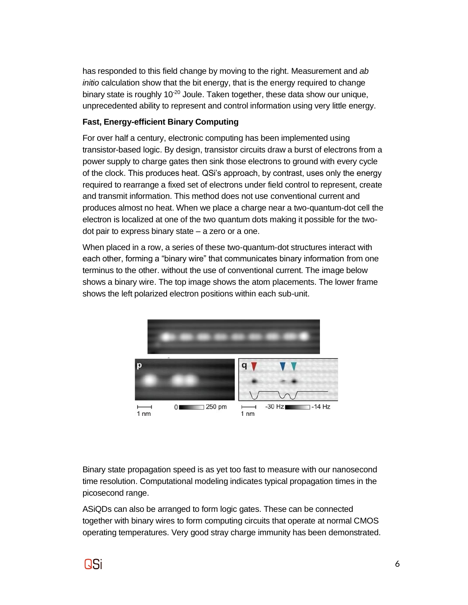has responded to this field change by moving to the right. Measurement and *ab initio* calculation show that the bit energy, that is the energy required to change binary state is roughly  $10^{-20}$  Joule. Taken together, these data show our unique, unprecedented ability to represent and control information using very little energy.

#### **Fast, Energy-efficient Binary Computing**

For over half a century, electronic computing has been implemented using transistor-based logic. By design, transistor circuits draw a burst of electrons from a power supply to charge gates then sink those electrons to ground with every cycle of the clock. This produces heat. QSi's approach, by contrast, uses only the energy required to rearrange a fixed set of electrons under field control to represent, create and transmit information. This method does not use conventional current and produces almost no heat. When we place a charge near a two-quantum-dot cell the electron is localized at one of the two quantum dots making it possible for the twodot pair to express binary state – a zero or a one.

When placed in a row, a series of these two-quantum-dot structures interact with each other, forming a "binary wire" that communicates binary information from one terminus to the other. without the use of conventional current. The image below shows a binary wire. The top image shows the atom placements. The lower frame shows the left polarized electron positions within each sub-unit.



Binary state propagation speed is as yet too fast to measure with our nanosecond time resolution. Computational modeling indicates typical propagation times in the picosecond range.

ASiQDs can also be arranged to form logic gates. These can be connected together with binary wires to form computing circuits that operate at normal CMOS operating temperatures. Very good stray charge immunity has been demonstrated.

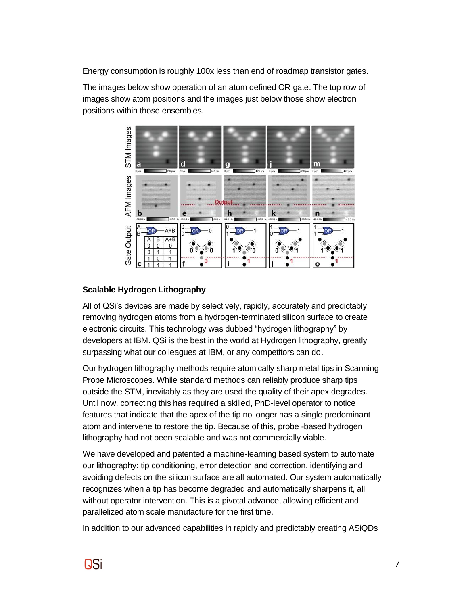Energy consumption is roughly 100x less than end of roadmap transistor gates.

The images below show operation of an atom defined OR gate. The top row of images show atom positions and the images just below those show electron positions within those ensembles.



## **Scalable Hydrogen Lithography**

All of QSi's devices are made by selectively, rapidly, accurately and predictably removing hydrogen atoms from a hydrogen-terminated silicon surface to create electronic circuits. This technology was dubbed "hydrogen lithography" by developers at IBM. QSi is the best in the world at Hydrogen lithography, greatly surpassing what our colleagues at IBM, or any competitors can do.

Our hydrogen lithography methods require atomically sharp metal tips in Scanning Probe Microscopes. While standard methods can reliably produce sharp tips outside the STM, inevitably as they are used the quality of their apex degrades. Until now, correcting this has required a skilled, PhD-level operator to notice features that indicate that the apex of the tip no longer has a single predominant atom and intervene to restore the tip. Because of this, probe -based hydrogen lithography had not been scalable and was not commercially viable.

We have developed and patented a machine-learning based system to automate our lithography: tip conditioning, error detection and correction, identifying and avoiding defects on the silicon surface are all automated. Our system automatically recognizes when a tip has become degraded and automatically sharpens it, all without operator intervention. This is a pivotal advance, allowing efficient and parallelized atom scale manufacture for the first time.

In addition to our advanced capabilities in rapidly and predictably creating ASiQDs

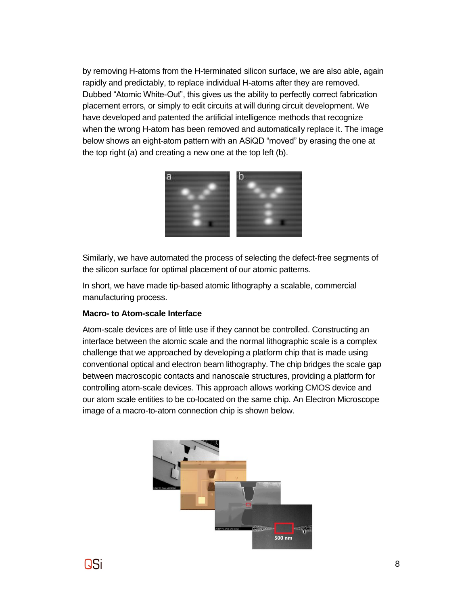by removing H-atoms from the H-terminated silicon surface, we are also able, again rapidly and predictably, to replace individual H-atoms after they are removed. Dubbed "Atomic White-Out", this gives us the ability to perfectly correct fabrication placement errors, or simply to edit circuits at will during circuit development. We have developed and patented the artificial intelligence methods that recognize when the wrong H-atom has been removed and automatically replace it. The image below shows an eight-atom pattern with an ASiQD "moved" by erasing the one at the top right (a) and creating a new one at the top left (b).



Similarly, we have automated the process of selecting the defect-free segments of the silicon surface for optimal placement of our atomic patterns.

In short, we have made tip-based atomic lithography a scalable, commercial manufacturing process.

#### **Macro- to Atom-scale Interface**

Atom-scale devices are of little use if they cannot be controlled. Constructing an interface between the atomic scale and the normal lithographic scale is a complex challenge that we approached by developing a platform chip that is made using conventional optical and electron beam lithography. The chip bridges the scale gap between macroscopic contacts and nanoscale structures, providing a platform for controlling atom-scale devices. This approach allows working CMOS device and our atom scale entities to be co-located on the same chip. An Electron Microscope image of a macro-to-atom connection chip is shown below.